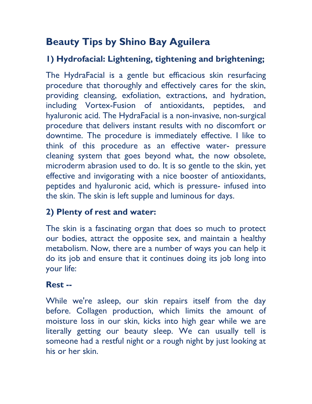# **Beauty Tips by Shino Bay Aguilera**

## **1) Hydrofacial: Lightening, tightening and brightening;**

The HydraFacial is a gentle but efficacious skin resurfacing procedure that thoroughly and effectively cares for the skin, providing cleansing, exfoliation, extractions, and hydration, including Vortex-Fusion of antioxidants, peptides, and hyaluronic acid. The HydraFacial is a non-invasive, non-surgical procedure that delivers instant results with no discomfort or downtime. The procedure is immediately effective. I like to think of this procedure as an effective water- pressure cleaning system that goes beyond what, the now obsolete, microderm abrasion used to do. It is so gentle to the skin, yet effective and invigorating with a nice booster of antioxidants, peptides and hyaluronic acid, which is pressure- infused into the skin. The skin is left supple and luminous for days.

### **2) Plenty of rest and water:**

The skin is a fascinating organ that does so much to protect our bodies, attract the opposite sex, and maintain a healthy metabolism. Now, there are a number of ways you can help it do its job and ensure that it continues doing its job long into your life:

#### **Rest --**

While we're asleep, our skin repairs itself from the day before. Collagen production, which limits the amount of moisture loss in our skin, kicks into high gear while we are literally getting our beauty sleep. We can usually tell is someone had a restful night or a rough night by just looking at his or her skin.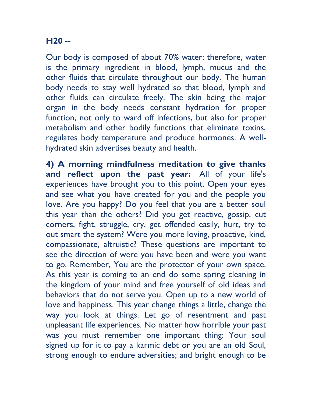#### **H20 --**

Our body is composed of about 70% water; therefore, water is the primary ingredient in blood, lymph, mucus and the other fluids that circulate throughout our body. The human body needs to stay well hydrated so that blood, lymph and other fluids can circulate freely. The skin being the major organ in the body needs constant hydration for proper function, not only to ward off infections, but also for proper metabolism and other bodily functions that eliminate toxins, regulates body temperature and produce hormones. A wellhydrated skin advertises beauty and health.

**4) A morning mindfulness meditation to give thanks and reflect upon the past year:** All of your life's experiences have brought you to this point. Open your eyes and see what you have created for you and the people you love. Are you happy? Do you feel that you are a better soul this year than the others? Did you get reactive, gossip, cut corners, fight, struggle, cry, get offended easily, hurt, try to out smart the system? Were you more loving, proactive, kind, compassionate, altruistic? These questions are important to see the direction of were you have been and were you want to go. Remember, You are the protector of your own space. As this year is coming to an end do some spring cleaning in the kingdom of your mind and free yourself of old ideas and behaviors that do not serve you. Open up to a new world of love and happiness. This year change things a little, change the way you look at things. Let go of resentment and past unpleasant life experiences. No matter how horrible your past was you must remember one important thing: Your soul signed up for it to pay a karmic debt or you are an old Soul, strong enough to endure adversities; and bright enough to be